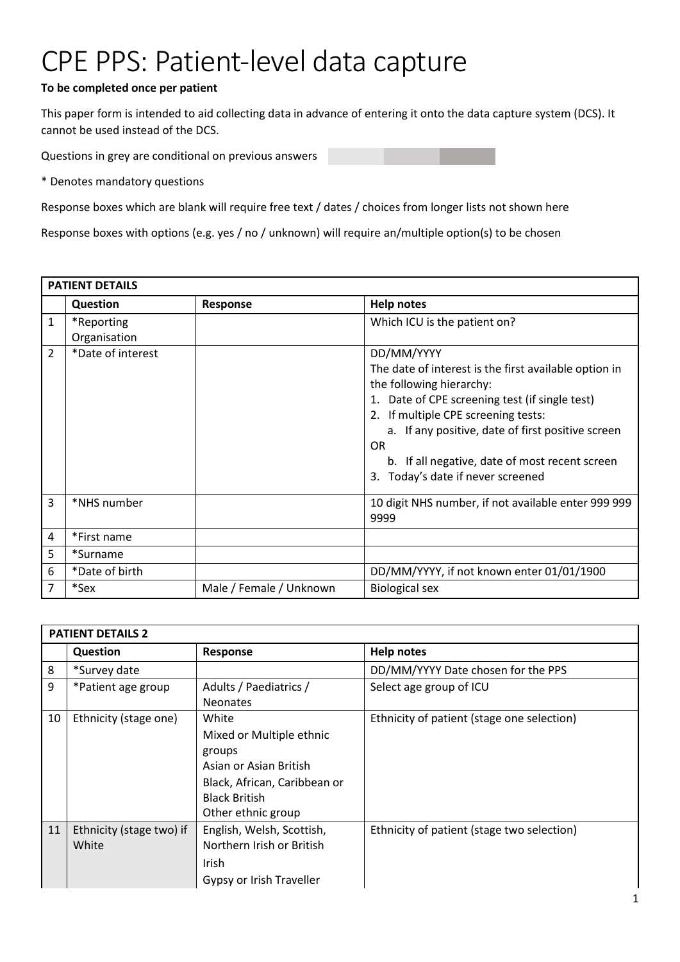## CPE PPS: Patient-level data capture

## **To be completed once per patient**

This paper form is intended to aid collecting data in advance of entering it onto the data capture system (DCS). It cannot be used instead of the DCS.

Questions in grey are conditional on previous answers

\* Denotes mandatory questions

Response boxes which are blank will require free text / dates / choices from longer lists not shown here

Response boxes with options (e.g. yes / no / unknown) will require an/multiple option(s) to be chosen

|              | <b>PATIENT DETAILS</b>     |                         |                                                                                                                                                                                                                                                                                                                                                   |  |  |  |
|--------------|----------------------------|-------------------------|---------------------------------------------------------------------------------------------------------------------------------------------------------------------------------------------------------------------------------------------------------------------------------------------------------------------------------------------------|--|--|--|
|              | <b>Question</b>            | Response                | <b>Help notes</b>                                                                                                                                                                                                                                                                                                                                 |  |  |  |
| $\mathbf{1}$ | *Reporting<br>Organisation |                         | Which ICU is the patient on?                                                                                                                                                                                                                                                                                                                      |  |  |  |
| 2            | *Date of interest          |                         | DD/MM/YYYY<br>The date of interest is the first available option in<br>the following hierarchy:<br>1. Date of CPE screening test (if single test)<br>2. If multiple CPE screening tests:<br>a. If any positive, date of first positive screen<br><b>OR</b><br>b. If all negative, date of most recent screen<br>3. Today's date if never screened |  |  |  |
| 3            | *NHS number                |                         | 10 digit NHS number, if not available enter 999 999<br>9999                                                                                                                                                                                                                                                                                       |  |  |  |
| 4            | *First name                |                         |                                                                                                                                                                                                                                                                                                                                                   |  |  |  |
| 5            | *Surname                   |                         |                                                                                                                                                                                                                                                                                                                                                   |  |  |  |
| 6            | *Date of birth             |                         | DD/MM/YYYY, if not known enter 01/01/1900                                                                                                                                                                                                                                                                                                         |  |  |  |
|              | *Sex                       | Male / Female / Unknown | <b>Biological sex</b>                                                                                                                                                                                                                                                                                                                             |  |  |  |

|    | <b>PATIENT DETAILS 2</b> |                              |                                            |  |  |
|----|--------------------------|------------------------------|--------------------------------------------|--|--|
|    | <b>Question</b>          | Response                     | <b>Help notes</b>                          |  |  |
| 8  | *Survey date             |                              | DD/MM/YYYY Date chosen for the PPS         |  |  |
| 9  | *Patient age group       | Adults / Paediatrics /       | Select age group of ICU                    |  |  |
|    |                          | <b>Neonates</b>              |                                            |  |  |
| 10 | Ethnicity (stage one)    | White                        | Ethnicity of patient (stage one selection) |  |  |
|    |                          | Mixed or Multiple ethnic     |                                            |  |  |
|    |                          | groups                       |                                            |  |  |
|    |                          | Asian or Asian British       |                                            |  |  |
|    |                          | Black, African, Caribbean or |                                            |  |  |
|    |                          | <b>Black British</b>         |                                            |  |  |
|    |                          | Other ethnic group           |                                            |  |  |
| 11 | Ethnicity (stage two) if | English, Welsh, Scottish,    | Ethnicity of patient (stage two selection) |  |  |
|    | White                    | Northern Irish or British    |                                            |  |  |
|    |                          | <b>Irish</b>                 |                                            |  |  |
|    |                          | Gypsy or Irish Traveller     |                                            |  |  |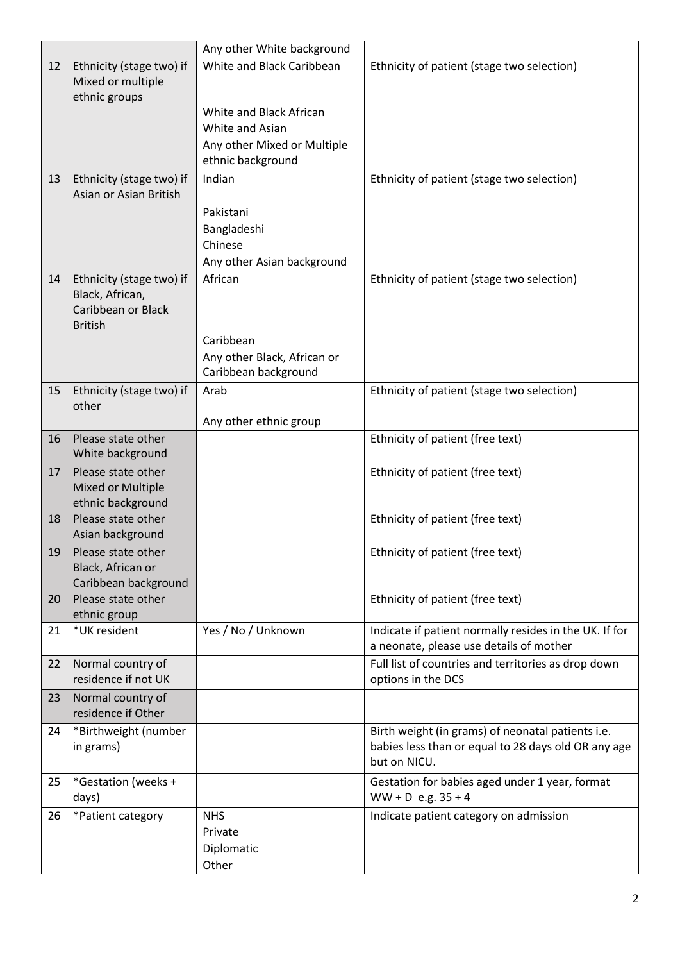|    |                                           | Any other White background  |                                                        |
|----|-------------------------------------------|-----------------------------|--------------------------------------------------------|
| 12 | Ethnicity (stage two) if                  | White and Black Caribbean   | Ethnicity of patient (stage two selection)             |
|    | Mixed or multiple                         |                             |                                                        |
|    | ethnic groups                             | White and Black African     |                                                        |
|    |                                           | White and Asian             |                                                        |
|    |                                           | Any other Mixed or Multiple |                                                        |
|    |                                           | ethnic background           |                                                        |
| 13 | Ethnicity (stage two) if                  | Indian                      | Ethnicity of patient (stage two selection)             |
|    | Asian or Asian British                    |                             |                                                        |
|    |                                           | Pakistani                   |                                                        |
|    |                                           | Bangladeshi                 |                                                        |
|    |                                           | Chinese                     |                                                        |
|    |                                           | Any other Asian background  |                                                        |
| 14 | Ethnicity (stage two) if                  | African                     | Ethnicity of patient (stage two selection)             |
|    | Black, African,<br>Caribbean or Black     |                             |                                                        |
|    | <b>British</b>                            |                             |                                                        |
|    |                                           | Caribbean                   |                                                        |
|    |                                           | Any other Black, African or |                                                        |
|    |                                           | Caribbean background        |                                                        |
| 15 | Ethnicity (stage two) if                  | Arab                        | Ethnicity of patient (stage two selection)             |
|    | other                                     |                             |                                                        |
|    | Please state other                        | Any other ethnic group      |                                                        |
| 16 | White background                          |                             | Ethnicity of patient (free text)                       |
| 17 | Please state other                        |                             | Ethnicity of patient (free text)                       |
|    | Mixed or Multiple                         |                             |                                                        |
|    | ethnic background                         |                             |                                                        |
| 18 | Please state other                        |                             | Ethnicity of patient (free text)                       |
|    | Asian background                          |                             |                                                        |
| 19 | Please state other                        |                             | Ethnicity of patient (free text)                       |
|    | Black, African or<br>Caribbean background |                             |                                                        |
| 20 | Please state other                        |                             | Ethnicity of patient (free text)                       |
|    | ethnic group                              |                             |                                                        |
| 21 | *UK resident                              | Yes / No / Unknown          | Indicate if patient normally resides in the UK. If for |
|    |                                           |                             | a neonate, please use details of mother                |
| 22 | Normal country of                         |                             | Full list of countries and territories as drop down    |
|    | residence if not UK                       |                             | options in the DCS                                     |
| 23 | Normal country of<br>residence if Other   |                             |                                                        |
| 24 |                                           |                             | Birth weight (in grams) of neonatal patients i.e.      |
|    | *Birthweight (number<br>in grams)         |                             | babies less than or equal to 28 days old OR any age    |
|    |                                           |                             | but on NICU.                                           |
| 25 | *Gestation (weeks +                       |                             | Gestation for babies aged under 1 year, format         |
|    | days)                                     |                             | $WW + D$ e.g. $35 + 4$                                 |
| 26 | *Patient category                         | <b>NHS</b>                  | Indicate patient category on admission                 |
|    |                                           | Private                     |                                                        |
|    |                                           | Diplomatic                  |                                                        |
|    |                                           | Other                       |                                                        |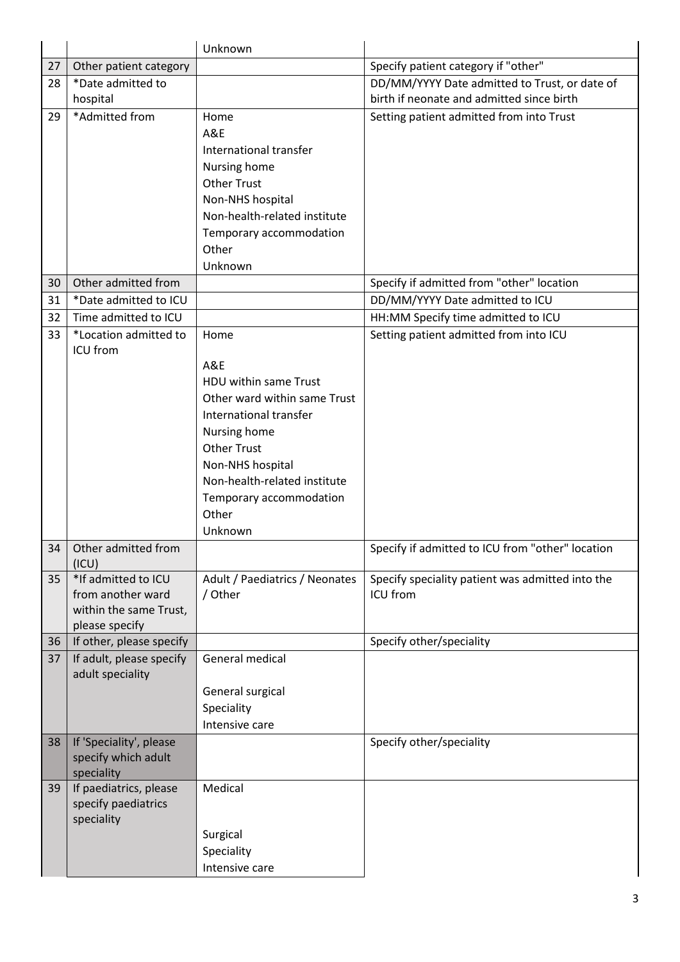|    |                                                                                      | Unknown                                                                                                                                                                                                                         |                                                              |
|----|--------------------------------------------------------------------------------------|---------------------------------------------------------------------------------------------------------------------------------------------------------------------------------------------------------------------------------|--------------------------------------------------------------|
| 27 | Other patient category                                                               |                                                                                                                                                                                                                                 | Specify patient category if "other"                          |
| 28 | *Date admitted to                                                                    |                                                                                                                                                                                                                                 | DD/MM/YYYY Date admitted to Trust, or date of                |
|    | hospital                                                                             |                                                                                                                                                                                                                                 | birth if neonate and admitted since birth                    |
| 29 | *Admitted from                                                                       | Home<br>A&E<br>International transfer<br>Nursing home<br><b>Other Trust</b><br>Non-NHS hospital<br>Non-health-related institute<br>Temporary accommodation<br>Other                                                             | Setting patient admitted from into Trust                     |
| 30 | Other admitted from                                                                  | Unknown                                                                                                                                                                                                                         | Specify if admitted from "other" location                    |
| 31 | *Date admitted to ICU                                                                |                                                                                                                                                                                                                                 | DD/MM/YYYY Date admitted to ICU                              |
| 32 | Time admitted to ICU                                                                 |                                                                                                                                                                                                                                 | HH:MM Specify time admitted to ICU                           |
| 33 | *Location admitted to                                                                | Home                                                                                                                                                                                                                            | Setting patient admitted from into ICU                       |
|    | ICU from                                                                             | A&E<br>HDU within same Trust<br>Other ward within same Trust<br>International transfer<br>Nursing home<br><b>Other Trust</b><br>Non-NHS hospital<br>Non-health-related institute<br>Temporary accommodation<br>Other<br>Unknown |                                                              |
| 34 | Other admitted from<br>(ICU)                                                         |                                                                                                                                                                                                                                 | Specify if admitted to ICU from "other" location             |
| 35 | *If admitted to ICU<br>from another ward<br>within the same Trust,<br>please specify | Adult / Paediatrics / Neonates<br>/ Other                                                                                                                                                                                       | Specify speciality patient was admitted into the<br>ICU from |
| 36 | If other, please specify                                                             |                                                                                                                                                                                                                                 | Specify other/speciality                                     |
| 37 | If adult, please specify<br>adult speciality                                         | General medical<br>General surgical<br>Speciality<br>Intensive care                                                                                                                                                             |                                                              |
| 38 | If 'Speciality', please<br>specify which adult<br>speciality                         |                                                                                                                                                                                                                                 | Specify other/speciality                                     |
| 39 | If paediatrics, please<br>specify paediatrics<br>speciality                          | Medical<br>Surgical<br>Speciality<br>Intensive care                                                                                                                                                                             |                                                              |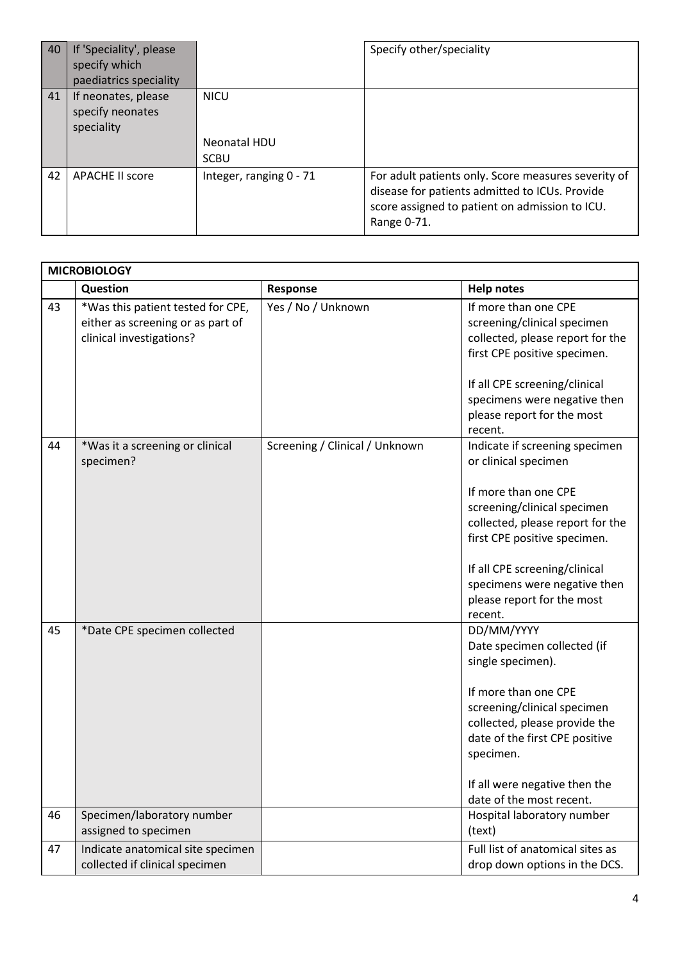| 40 | If 'Speciality', please<br>specify which<br>paediatrics speciality |                                            | Specify other/speciality                                                                                                                                               |
|----|--------------------------------------------------------------------|--------------------------------------------|------------------------------------------------------------------------------------------------------------------------------------------------------------------------|
| 41 | If neonates, please<br>specify neonates<br>speciality              | <b>NICU</b><br>Neonatal HDU<br><b>SCBU</b> |                                                                                                                                                                        |
| 42 | <b>APACHE II score</b>                                             | Integer, ranging 0 - 71                    | For adult patients only. Score measures severity of<br>disease for patients admitted to ICUs. Provide<br>score assigned to patient on admission to ICU.<br>Range 0-71. |

|    | <b>MICROBIOLOGY</b>                                                                                |                                |                                                                                                                                                                                                                                                                                             |  |
|----|----------------------------------------------------------------------------------------------------|--------------------------------|---------------------------------------------------------------------------------------------------------------------------------------------------------------------------------------------------------------------------------------------------------------------------------------------|--|
|    | Question                                                                                           | Response                       | <b>Help notes</b>                                                                                                                                                                                                                                                                           |  |
| 43 | *Was this patient tested for CPE,<br>either as screening or as part of<br>clinical investigations? | Yes / No / Unknown             | If more than one CPE<br>screening/clinical specimen<br>collected, please report for the<br>first CPE positive specimen.<br>If all CPE screening/clinical<br>specimens were negative then                                                                                                    |  |
|    |                                                                                                    |                                | please report for the most<br>recent.                                                                                                                                                                                                                                                       |  |
| 44 | *Was it a screening or clinical<br>specimen?                                                       | Screening / Clinical / Unknown | Indicate if screening specimen<br>or clinical specimen<br>If more than one CPE<br>screening/clinical specimen<br>collected, please report for the<br>first CPE positive specimen.<br>If all CPE screening/clinical<br>specimens were negative then<br>please report for the most<br>recent. |  |
| 45 | *Date CPE specimen collected                                                                       |                                | DD/MM/YYYY<br>Date specimen collected (if<br>single specimen).<br>If more than one CPE<br>screening/clinical specimen<br>collected, please provide the<br>date of the first CPE positive<br>specimen.<br>If all were negative then the<br>date of the most recent.                          |  |
| 46 | Specimen/laboratory number<br>assigned to specimen                                                 |                                | Hospital laboratory number<br>(text)                                                                                                                                                                                                                                                        |  |
| 47 | Indicate anatomical site specimen<br>collected if clinical specimen                                |                                | Full list of anatomical sites as<br>drop down options in the DCS.                                                                                                                                                                                                                           |  |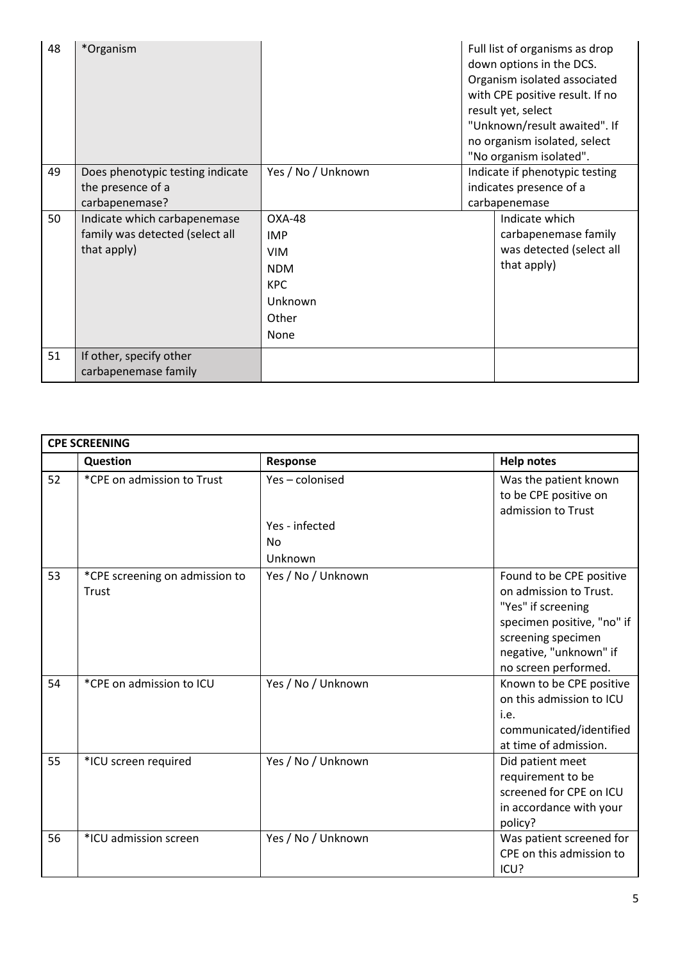| 48 | *Organism                                                                      |                                                                                            | Full list of organisms as drop<br>down options in the DCS.<br>Organism isolated associated<br>with CPE positive result. If no<br>result yet, select<br>"Unknown/result awaited". If<br>no organism isolated, select<br>"No organism isolated". |                                                                                   |
|----|--------------------------------------------------------------------------------|--------------------------------------------------------------------------------------------|------------------------------------------------------------------------------------------------------------------------------------------------------------------------------------------------------------------------------------------------|-----------------------------------------------------------------------------------|
| 49 | Does phenotypic testing indicate<br>the presence of a<br>carbapenemase?        | Yes / No / Unknown                                                                         |                                                                                                                                                                                                                                                | Indicate if phenotypic testing<br>indicates presence of a<br>carbapenemase        |
| 50 | Indicate which carbapenemase<br>family was detected (select all<br>that apply) | OXA-48<br><b>IMP</b><br><b>VIM</b><br><b>NDM</b><br><b>KPC</b><br>Unknown<br>Other<br>None |                                                                                                                                                                                                                                                | Indicate which<br>carbapenemase family<br>was detected (select all<br>that apply) |
| 51 | If other, specify other<br>carbapenemase family                                |                                                                                            |                                                                                                                                                                                                                                                |                                                                                   |

|    | <b>CPE SCREENING</b>                    |                    |                                                                                                                                                                                |  |  |
|----|-----------------------------------------|--------------------|--------------------------------------------------------------------------------------------------------------------------------------------------------------------------------|--|--|
|    | Question                                | Response           | <b>Help notes</b>                                                                                                                                                              |  |  |
| 52 | *CPE on admission to Trust              | Yes-colonised      | Was the patient known<br>to be CPE positive on<br>admission to Trust                                                                                                           |  |  |
|    |                                         | Yes - infected     |                                                                                                                                                                                |  |  |
|    |                                         | No                 |                                                                                                                                                                                |  |  |
|    |                                         | Unknown            |                                                                                                                                                                                |  |  |
| 53 | *CPE screening on admission to<br>Trust | Yes / No / Unknown | Found to be CPE positive<br>on admission to Trust.<br>"Yes" if screening<br>specimen positive, "no" if<br>screening specimen<br>negative, "unknown" if<br>no screen performed. |  |  |
| 54 | *CPE on admission to ICU                | Yes / No / Unknown | Known to be CPE positive<br>on this admission to ICU<br>i.e.<br>communicated/identified<br>at time of admission.                                                               |  |  |
| 55 | *ICU screen required                    | Yes / No / Unknown | Did patient meet<br>requirement to be<br>screened for CPE on ICU<br>in accordance with your<br>policy?                                                                         |  |  |
| 56 | *ICU admission screen                   | Yes / No / Unknown | Was patient screened for<br>CPE on this admission to<br>ICU?                                                                                                                   |  |  |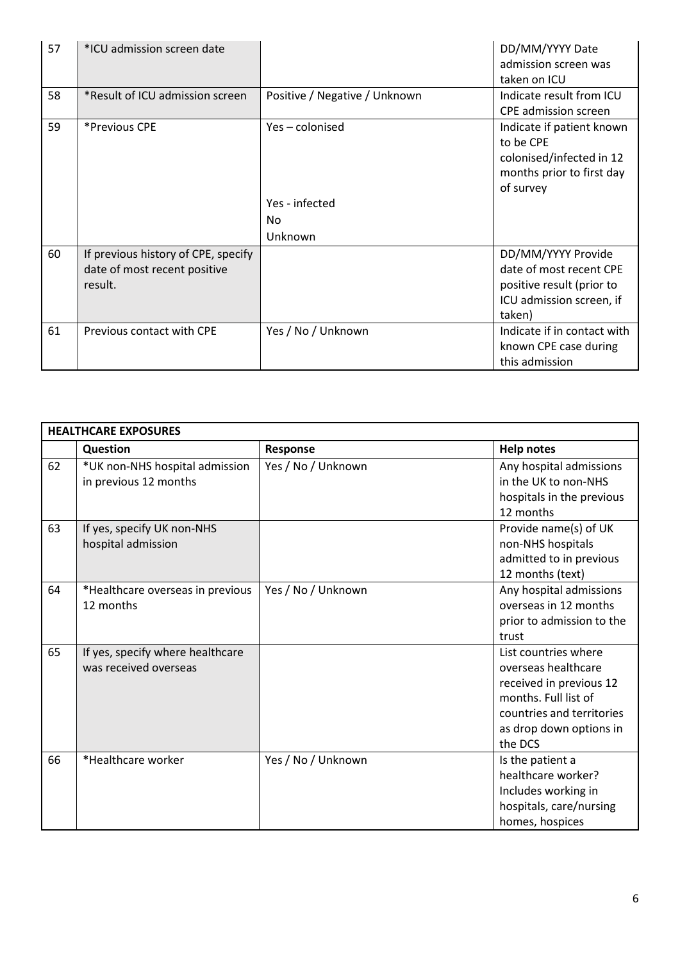| 57 | *ICU admission screen date          |                               | DD/MM/YYYY Date             |
|----|-------------------------------------|-------------------------------|-----------------------------|
|    |                                     |                               | admission screen was        |
|    |                                     |                               | taken on ICU                |
| 58 | *Result of ICU admission screen     | Positive / Negative / Unknown | Indicate result from ICU    |
|    |                                     |                               | <b>CPE</b> admission screen |
| 59 | *Previous CPE                       | Yes-colonised                 | Indicate if patient known   |
|    |                                     |                               | to be CPE                   |
|    |                                     |                               | colonised/infected in 12    |
|    |                                     |                               | months prior to first day   |
|    |                                     |                               | of survey                   |
|    |                                     | Yes - infected                |                             |
|    |                                     | No                            |                             |
|    |                                     | Unknown                       |                             |
| 60 | If previous history of CPE, specify |                               | DD/MM/YYYY Provide          |
|    | date of most recent positive        |                               | date of most recent CPE     |
|    | result.                             |                               | positive result (prior to   |
|    |                                     |                               | ICU admission screen, if    |
|    |                                     |                               | taken)                      |
| 61 | Previous contact with CPE           | Yes / No / Unknown            | Indicate if in contact with |
|    |                                     |                               | known CPE case during       |
|    |                                     |                               | this admission              |

| <b>HEALTHCARE EXPOSURES</b> |                                                           |                    |                                                                                                                                                                   |
|-----------------------------|-----------------------------------------------------------|--------------------|-------------------------------------------------------------------------------------------------------------------------------------------------------------------|
|                             | Question                                                  | Response           | <b>Help notes</b>                                                                                                                                                 |
| 62                          | *UK non-NHS hospital admission<br>in previous 12 months   | Yes / No / Unknown | Any hospital admissions<br>in the UK to non-NHS<br>hospitals in the previous<br>12 months                                                                         |
| 63                          | If yes, specify UK non-NHS<br>hospital admission          |                    | Provide name(s) of UK<br>non-NHS hospitals<br>admitted to in previous<br>12 months (text)                                                                         |
| 64                          | *Healthcare overseas in previous<br>12 months             | Yes / No / Unknown | Any hospital admissions<br>overseas in 12 months<br>prior to admission to the<br>trust                                                                            |
| 65                          | If yes, specify where healthcare<br>was received overseas |                    | List countries where<br>overseas healthcare<br>received in previous 12<br>months. Full list of<br>countries and territories<br>as drop down options in<br>the DCS |
| 66                          | *Healthcare worker                                        | Yes / No / Unknown | Is the patient a<br>healthcare worker?<br>Includes working in<br>hospitals, care/nursing<br>homes, hospices                                                       |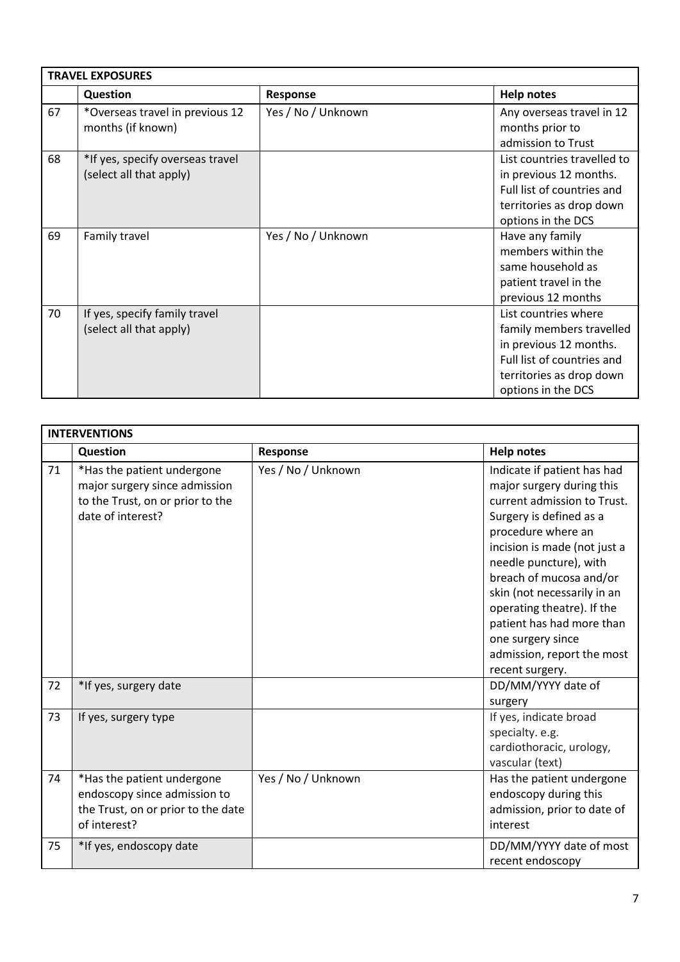| <b>TRAVEL EXPOSURES</b> |                                                             |                    |                                                                                                                                                            |  |
|-------------------------|-------------------------------------------------------------|--------------------|------------------------------------------------------------------------------------------------------------------------------------------------------------|--|
|                         | Question                                                    | Response           | <b>Help notes</b>                                                                                                                                          |  |
| 67                      | *Overseas travel in previous 12<br>months (if known)        | Yes / No / Unknown | Any overseas travel in 12<br>months prior to<br>admission to Trust                                                                                         |  |
| 68                      | *If yes, specify overseas travel<br>(select all that apply) |                    | List countries travelled to<br>in previous 12 months.<br>Full list of countries and<br>territories as drop down<br>options in the DCS                      |  |
| 69                      | Family travel                                               | Yes / No / Unknown | Have any family<br>members within the<br>same household as<br>patient travel in the<br>previous 12 months                                                  |  |
| 70                      | If yes, specify family travel<br>(select all that apply)    |                    | List countries where<br>family members travelled<br>in previous 12 months.<br>Full list of countries and<br>territories as drop down<br>options in the DCS |  |

|    | <b>INTERVENTIONS</b>                                                                                                 |                    |                                                                                                                                                                                                                                                                                                                                                                                               |  |  |
|----|----------------------------------------------------------------------------------------------------------------------|--------------------|-----------------------------------------------------------------------------------------------------------------------------------------------------------------------------------------------------------------------------------------------------------------------------------------------------------------------------------------------------------------------------------------------|--|--|
|    | Question                                                                                                             | Response           | <b>Help notes</b>                                                                                                                                                                                                                                                                                                                                                                             |  |  |
| 71 | *Has the patient undergone<br>major surgery since admission<br>to the Trust, on or prior to the<br>date of interest? | Yes / No / Unknown | Indicate if patient has had<br>major surgery during this<br>current admission to Trust.<br>Surgery is defined as a<br>procedure where an<br>incision is made (not just a<br>needle puncture), with<br>breach of mucosa and/or<br>skin (not necessarily in an<br>operating theatre). If the<br>patient has had more than<br>one surgery since<br>admission, report the most<br>recent surgery. |  |  |
| 72 | *If yes, surgery date                                                                                                |                    | DD/MM/YYYY date of<br>surgery                                                                                                                                                                                                                                                                                                                                                                 |  |  |
| 73 | If yes, surgery type                                                                                                 |                    | If yes, indicate broad<br>specialty. e.g.<br>cardiothoracic, urology,<br>vascular (text)                                                                                                                                                                                                                                                                                                      |  |  |
| 74 | *Has the patient undergone<br>endoscopy since admission to<br>the Trust, on or prior to the date<br>of interest?     | Yes / No / Unknown | Has the patient undergone<br>endoscopy during this<br>admission, prior to date of<br>interest                                                                                                                                                                                                                                                                                                 |  |  |
| 75 | *If yes, endoscopy date                                                                                              |                    | DD/MM/YYYY date of most<br>recent endoscopy                                                                                                                                                                                                                                                                                                                                                   |  |  |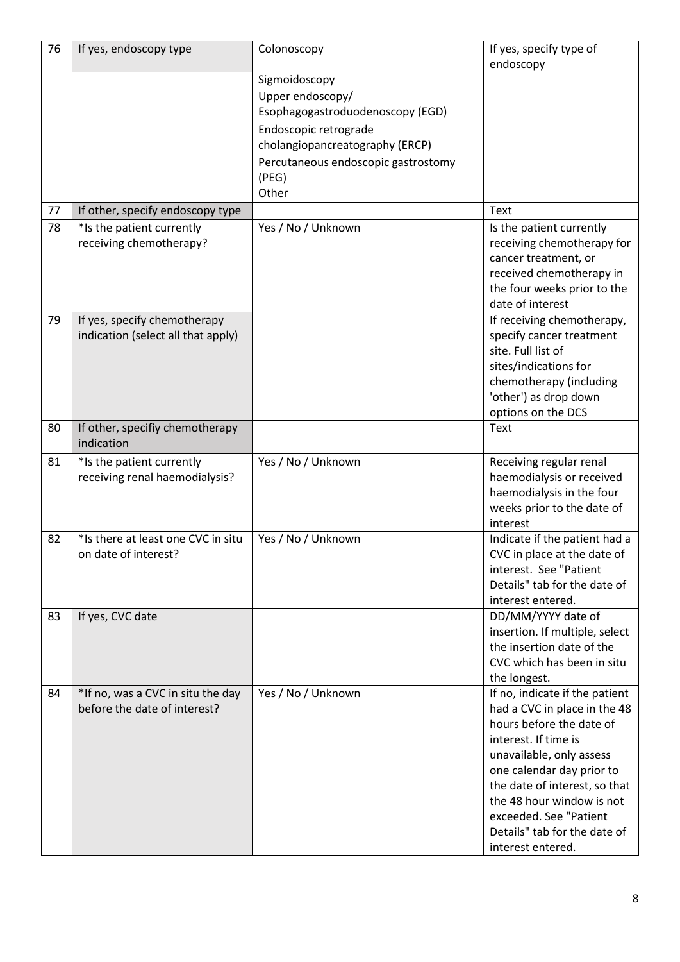| 76 | If yes, endoscopy type             | Colonoscopy                         | If yes, specify type of<br>endoscopy                         |
|----|------------------------------------|-------------------------------------|--------------------------------------------------------------|
|    |                                    | Sigmoidoscopy                       |                                                              |
|    |                                    | Upper endoscopy/                    |                                                              |
|    |                                    | Esophagogastroduodenoscopy (EGD)    |                                                              |
|    |                                    | Endoscopic retrograde               |                                                              |
|    |                                    | cholangiopancreatography (ERCP)     |                                                              |
|    |                                    | Percutaneous endoscopic gastrostomy |                                                              |
|    |                                    | (PEG)                               |                                                              |
|    |                                    | Other                               |                                                              |
| 77 | If other, specify endoscopy type   |                                     | Text                                                         |
| 78 | *Is the patient currently          | Yes / No / Unknown                  | Is the patient currently                                     |
|    | receiving chemotherapy?            |                                     | receiving chemotherapy for                                   |
|    |                                    |                                     | cancer treatment, or                                         |
|    |                                    |                                     | received chemotherapy in                                     |
|    |                                    |                                     | the four weeks prior to the                                  |
|    |                                    |                                     | date of interest                                             |
| 79 | If yes, specify chemotherapy       |                                     | If receiving chemotherapy,                                   |
|    | indication (select all that apply) |                                     | specify cancer treatment<br>site. Full list of               |
|    |                                    |                                     | sites/indications for                                        |
|    |                                    |                                     | chemotherapy (including                                      |
|    |                                    |                                     | 'other') as drop down                                        |
|    |                                    |                                     | options on the DCS                                           |
| 80 | If other, specifiy chemotherapy    |                                     | Text                                                         |
|    | indication                         |                                     |                                                              |
| 81 | *Is the patient currently          | Yes / No / Unknown                  | Receiving regular renal                                      |
|    | receiving renal haemodialysis?     |                                     | haemodialysis or received                                    |
|    |                                    |                                     | haemodialysis in the four                                    |
|    |                                    |                                     | weeks prior to the date of                                   |
| 82 | *Is there at least one CVC in situ |                                     | interest                                                     |
|    | on date of interest?               | Yes / No / Unknown                  | Indicate if the patient had a<br>CVC in place at the date of |
|    |                                    |                                     | interest. See "Patient                                       |
|    |                                    |                                     | Details" tab for the date of                                 |
|    |                                    |                                     | interest entered.                                            |
| 83 | If yes, CVC date                   |                                     | DD/MM/YYYY date of                                           |
|    |                                    |                                     | insertion. If multiple, select                               |
|    |                                    |                                     | the insertion date of the                                    |
|    |                                    |                                     | CVC which has been in situ                                   |
|    |                                    |                                     | the longest.                                                 |
| 84 | *If no, was a CVC in situ the day  | Yes / No / Unknown                  | If no, indicate if the patient                               |
|    | before the date of interest?       |                                     | had a CVC in place in the 48                                 |
|    |                                    |                                     | hours before the date of                                     |
|    |                                    |                                     | interest. If time is                                         |
|    |                                    |                                     | unavailable, only assess                                     |
|    |                                    |                                     | one calendar day prior to                                    |
|    |                                    |                                     | the date of interest, so that                                |
|    |                                    |                                     | the 48 hour window is not<br>exceeded. See "Patient          |
|    |                                    |                                     | Details" tab for the date of                                 |
|    |                                    |                                     | interest entered.                                            |
|    |                                    |                                     |                                                              |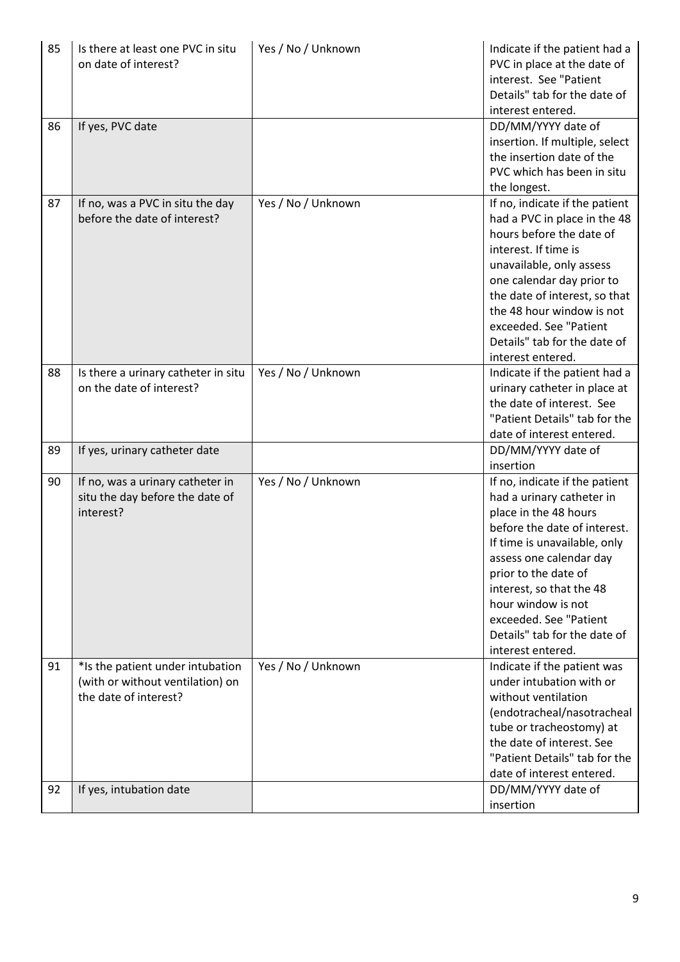| 85 | Is there at least one PVC in situ<br>on date of interest?                                     | Yes / No / Unknown | Indicate if the patient had a<br>PVC in place at the date of<br>interest. See "Patient<br>Details" tab for the date of<br>interest entered.                                                                                                                                                                                              |
|----|-----------------------------------------------------------------------------------------------|--------------------|------------------------------------------------------------------------------------------------------------------------------------------------------------------------------------------------------------------------------------------------------------------------------------------------------------------------------------------|
| 86 | If yes, PVC date                                                                              |                    | DD/MM/YYYY date of<br>insertion. If multiple, select<br>the insertion date of the<br>PVC which has been in situ<br>the longest.                                                                                                                                                                                                          |
| 87 | If no, was a PVC in situ the day<br>before the date of interest?                              | Yes / No / Unknown | If no, indicate if the patient<br>had a PVC in place in the 48<br>hours before the date of<br>interest. If time is<br>unavailable, only assess<br>one calendar day prior to<br>the date of interest, so that<br>the 48 hour window is not<br>exceeded. See "Patient<br>Details" tab for the date of<br>interest entered.                 |
| 88 | Is there a urinary catheter in situ<br>on the date of interest?                               | Yes / No / Unknown | Indicate if the patient had a<br>urinary catheter in place at<br>the date of interest. See<br>"Patient Details" tab for the<br>date of interest entered.                                                                                                                                                                                 |
| 89 | If yes, urinary catheter date                                                                 |                    | DD/MM/YYYY date of<br>insertion                                                                                                                                                                                                                                                                                                          |
| 90 | If no, was a urinary catheter in<br>situ the day before the date of<br>interest?              | Yes / No / Unknown | If no, indicate if the patient<br>had a urinary catheter in<br>place in the 48 hours<br>before the date of interest.<br>If time is unavailable, only<br>assess one calendar day<br>prior to the date of<br>interest, so that the 48<br>hour window is not<br>exceeded. See "Patient<br>Details" tab for the date of<br>interest entered. |
| 91 | *Is the patient under intubation<br>(with or without ventilation) on<br>the date of interest? | Yes / No / Unknown | Indicate if the patient was<br>under intubation with or<br>without ventilation<br>(endotracheal/nasotracheal<br>tube or tracheostomy) at<br>the date of interest. See<br>"Patient Details" tab for the<br>date of interest entered.                                                                                                      |
| 92 | If yes, intubation date                                                                       |                    | DD/MM/YYYY date of<br>insertion                                                                                                                                                                                                                                                                                                          |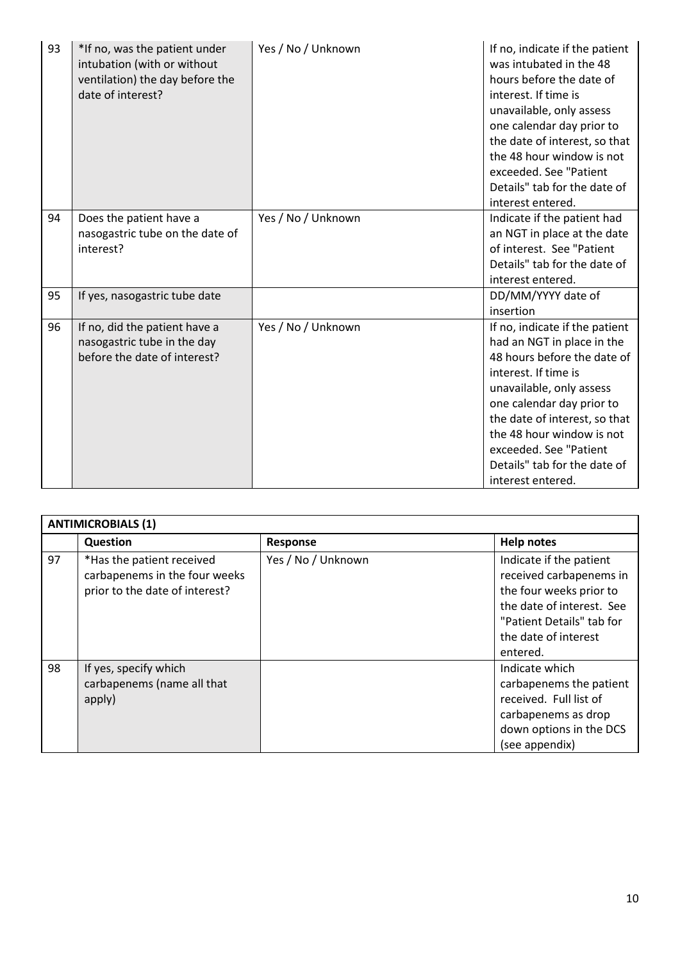| 93 | *If no, was the patient under<br>intubation (with or without<br>ventilation) the day before the<br>date of interest? | Yes / No / Unknown | If no, indicate if the patient<br>was intubated in the 48<br>hours before the date of<br>interest. If time is<br>unavailable, only assess<br>one calendar day prior to<br>the date of interest, so that<br>the 48 hour window is not<br>exceeded. See "Patient<br>Details" tab for the date of<br>interest entered.       |
|----|----------------------------------------------------------------------------------------------------------------------|--------------------|---------------------------------------------------------------------------------------------------------------------------------------------------------------------------------------------------------------------------------------------------------------------------------------------------------------------------|
| 94 | Does the patient have a<br>nasogastric tube on the date of<br>interest?                                              | Yes / No / Unknown | Indicate if the patient had<br>an NGT in place at the date<br>of interest. See "Patient<br>Details" tab for the date of<br>interest entered.                                                                                                                                                                              |
| 95 | If yes, nasogastric tube date                                                                                        |                    | DD/MM/YYYY date of<br>insertion                                                                                                                                                                                                                                                                                           |
| 96 | If no, did the patient have a<br>nasogastric tube in the day<br>before the date of interest?                         | Yes / No / Unknown | If no, indicate if the patient<br>had an NGT in place in the<br>48 hours before the date of<br>interest. If time is<br>unavailable, only assess<br>one calendar day prior to<br>the date of interest, so that<br>the 48 hour window is not<br>exceeded. See "Patient<br>Details" tab for the date of<br>interest entered. |

| <b>ANTIMICROBIALS (1)</b> |                                                                                              |                    |                                                                                                                                                                             |  |  |
|---------------------------|----------------------------------------------------------------------------------------------|--------------------|-----------------------------------------------------------------------------------------------------------------------------------------------------------------------------|--|--|
|                           | Question                                                                                     | Response           | <b>Help notes</b>                                                                                                                                                           |  |  |
| 97                        | *Has the patient received<br>carbapenems in the four weeks<br>prior to the date of interest? | Yes / No / Unknown | Indicate if the patient<br>received carbapenems in<br>the four weeks prior to<br>the date of interest. See<br>"Patient Details" tab for<br>the date of interest<br>entered. |  |  |
| 98                        | If yes, specify which<br>carbapenems (name all that<br>apply)                                |                    | Indicate which<br>carbapenems the patient<br>received. Full list of<br>carbapenems as drop<br>down options in the DCS<br>(see appendix)                                     |  |  |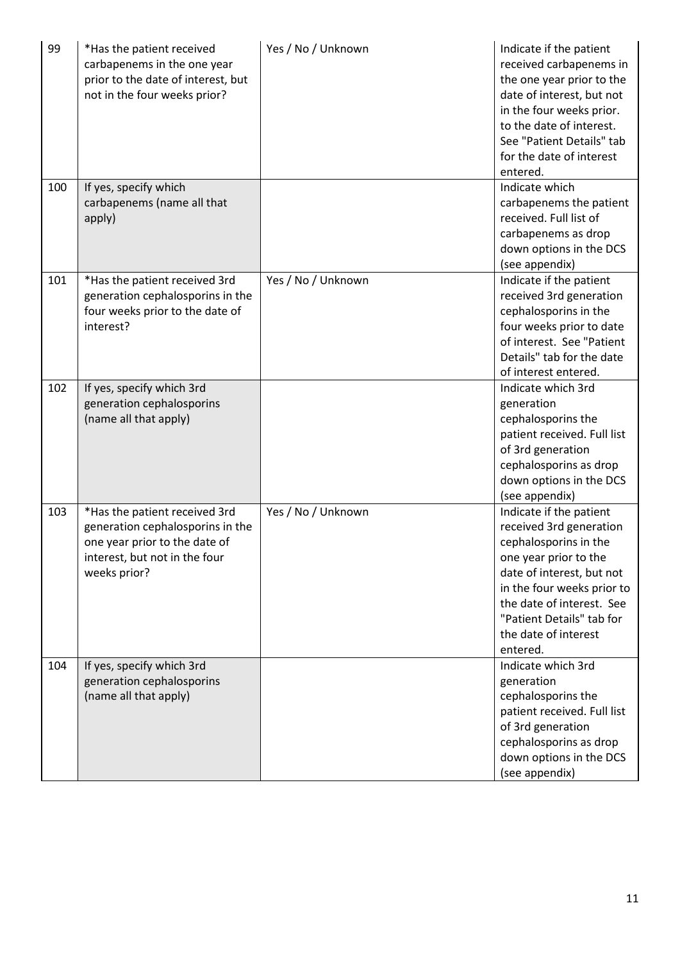| 99  | *Has the patient received<br>carbapenems in the one year<br>prior to the date of interest, but<br>not in the four weeks prior?                      | Yes / No / Unknown | Indicate if the patient<br>received carbapenems in<br>the one year prior to the<br>date of interest, but not<br>in the four weeks prior.<br>to the date of interest.<br>See "Patient Details" tab<br>for the date of interest<br>entered.                     |
|-----|-----------------------------------------------------------------------------------------------------------------------------------------------------|--------------------|---------------------------------------------------------------------------------------------------------------------------------------------------------------------------------------------------------------------------------------------------------------|
| 100 | If yes, specify which<br>carbapenems (name all that<br>apply)                                                                                       |                    | Indicate which<br>carbapenems the patient<br>received. Full list of<br>carbapenems as drop<br>down options in the DCS<br>(see appendix)                                                                                                                       |
| 101 | *Has the patient received 3rd<br>generation cephalosporins in the<br>four weeks prior to the date of<br>interest?                                   | Yes / No / Unknown | Indicate if the patient<br>received 3rd generation<br>cephalosporins in the<br>four weeks prior to date<br>of interest. See "Patient<br>Details" tab for the date<br>of interest entered.                                                                     |
| 102 | If yes, specify which 3rd<br>generation cephalosporins<br>(name all that apply)                                                                     |                    | Indicate which 3rd<br>generation<br>cephalosporins the<br>patient received. Full list<br>of 3rd generation<br>cephalosporins as drop<br>down options in the DCS<br>(see appendix)                                                                             |
| 103 | *Has the patient received 3rd<br>generation cephalosporins in the<br>one year prior to the date of<br>interest, but not in the four<br>weeks prior? | Yes / No / Unknown | Indicate if the patient<br>received 3rd generation<br>cephalosporins in the<br>one year prior to the<br>date of interest, but not<br>in the four weeks prior to<br>the date of interest. See<br>"Patient Details" tab for<br>the date of interest<br>entered. |
| 104 | If yes, specify which 3rd<br>generation cephalosporins<br>(name all that apply)                                                                     |                    | Indicate which 3rd<br>generation<br>cephalosporins the<br>patient received. Full list<br>of 3rd generation<br>cephalosporins as drop<br>down options in the DCS<br>(see appendix)                                                                             |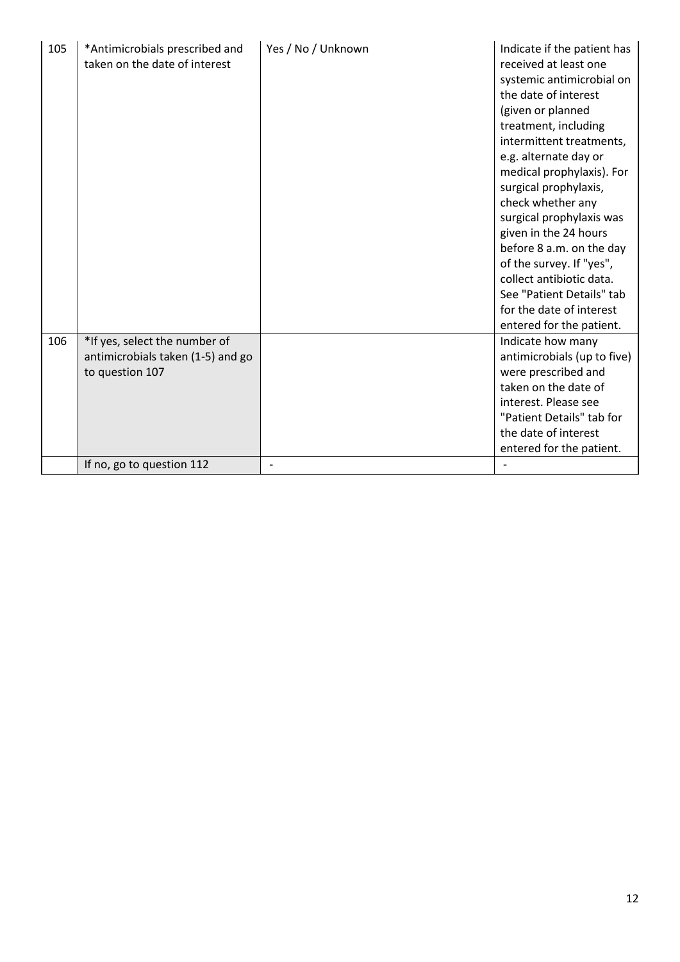| 105 | *Antimicrobials prescribed and<br>taken on the date of interest                       | Yes / No / Unknown | Indicate if the patient has<br>received at least one<br>systemic antimicrobial on<br>the date of interest<br>(given or planned<br>treatment, including<br>intermittent treatments,<br>e.g. alternate day or<br>medical prophylaxis). For<br>surgical prophylaxis,<br>check whether any<br>surgical prophylaxis was<br>given in the 24 hours<br>before 8 a.m. on the day<br>of the survey. If "yes",<br>collect antibiotic data.<br>See "Patient Details" tab<br>for the date of interest |
|-----|---------------------------------------------------------------------------------------|--------------------|------------------------------------------------------------------------------------------------------------------------------------------------------------------------------------------------------------------------------------------------------------------------------------------------------------------------------------------------------------------------------------------------------------------------------------------------------------------------------------------|
|     |                                                                                       |                    | entered for the patient.                                                                                                                                                                                                                                                                                                                                                                                                                                                                 |
| 106 | *If yes, select the number of<br>antimicrobials taken (1-5) and go<br>to question 107 |                    | Indicate how many<br>antimicrobials (up to five)<br>were prescribed and<br>taken on the date of<br>interest. Please see<br>"Patient Details" tab for<br>the date of interest<br>entered for the patient.                                                                                                                                                                                                                                                                                 |
|     | If no, go to question 112                                                             |                    |                                                                                                                                                                                                                                                                                                                                                                                                                                                                                          |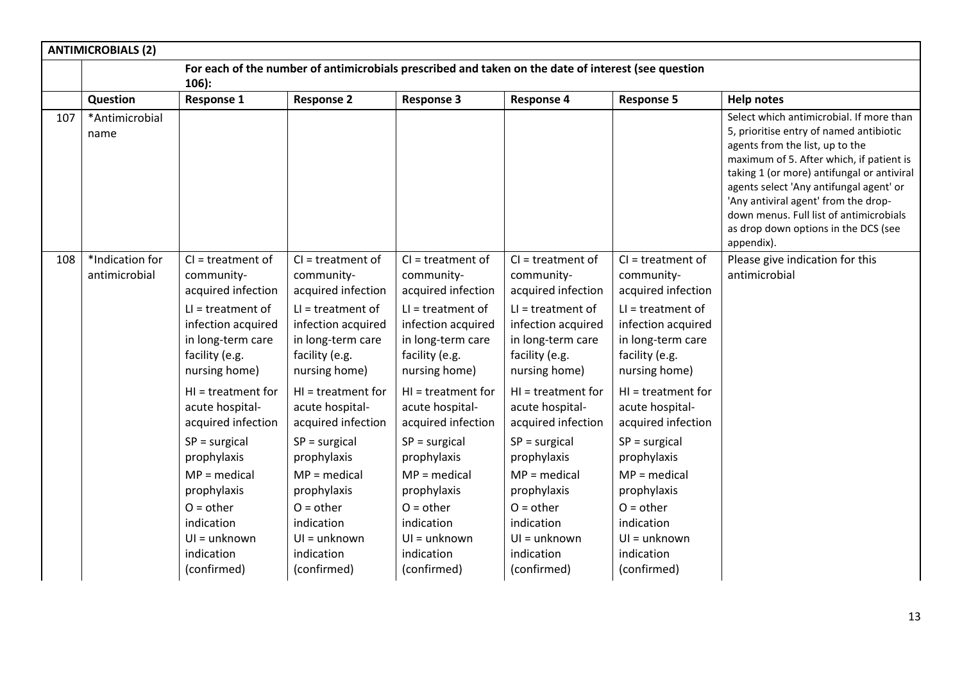|     | <b>ANTIMICROBIALS (2)</b>                                                                                      |                                                                                                                                                                                                                     |                                                                                                                                                                                                                     |                                                                                                                                                                                                                     |                                                                                                                                                                                                                     |                                                                                                                                                                                                                     |                                                                                                                                                                                                                                                                                                                                                                                                      |
|-----|----------------------------------------------------------------------------------------------------------------|---------------------------------------------------------------------------------------------------------------------------------------------------------------------------------------------------------------------|---------------------------------------------------------------------------------------------------------------------------------------------------------------------------------------------------------------------|---------------------------------------------------------------------------------------------------------------------------------------------------------------------------------------------------------------------|---------------------------------------------------------------------------------------------------------------------------------------------------------------------------------------------------------------------|---------------------------------------------------------------------------------------------------------------------------------------------------------------------------------------------------------------------|------------------------------------------------------------------------------------------------------------------------------------------------------------------------------------------------------------------------------------------------------------------------------------------------------------------------------------------------------------------------------------------------------|
|     | For each of the number of antimicrobials prescribed and taken on the date of interest (see question<br>$106$ : |                                                                                                                                                                                                                     |                                                                                                                                                                                                                     |                                                                                                                                                                                                                     |                                                                                                                                                                                                                     |                                                                                                                                                                                                                     |                                                                                                                                                                                                                                                                                                                                                                                                      |
|     | Question                                                                                                       | <b>Response 1</b>                                                                                                                                                                                                   | <b>Response 2</b>                                                                                                                                                                                                   | <b>Response 3</b>                                                                                                                                                                                                   | <b>Response 4</b>                                                                                                                                                                                                   | <b>Response 5</b>                                                                                                                                                                                                   | <b>Help notes</b>                                                                                                                                                                                                                                                                                                                                                                                    |
| 107 | *Antimicrobial<br>name                                                                                         |                                                                                                                                                                                                                     |                                                                                                                                                                                                                     |                                                                                                                                                                                                                     |                                                                                                                                                                                                                     |                                                                                                                                                                                                                     | Select which antimicrobial. If more than<br>5, prioritise entry of named antibiotic<br>agents from the list, up to the<br>maximum of 5. After which, if patient is<br>taking 1 (or more) antifungal or antiviral<br>agents select 'Any antifungal agent' or<br>'Any antiviral agent' from the drop-<br>down menus. Full list of antimicrobials<br>as drop down options in the DCS (see<br>appendix). |
| 108 | *Indication for<br>antimicrobial                                                                               | $Cl = treatment of$<br>community-<br>acquired infection<br>$LI = treatment of$<br>infection acquired<br>in long-term care<br>facility (e.g.<br>nursing home)                                                        | $Cl = treatment of$<br>community-<br>acquired infection<br>$LI = treatment of$<br>infection acquired<br>in long-term care<br>facility (e.g.<br>nursing home)                                                        | $Cl = treatment of$<br>community-<br>acquired infection<br>$LI = treatment of$<br>infection acquired<br>in long-term care<br>facility (e.g.<br>nursing home)                                                        | $Cl = treatment of$<br>community-<br>acquired infection<br>$LI = treatment of$<br>infection acquired<br>in long-term care<br>facility (e.g.<br>nursing home)                                                        | $Cl = treatment of$<br>community-<br>acquired infection<br>$LI = treatment of$<br>infection acquired<br>in long-term care<br>facility (e.g.<br>nursing home)                                                        | Please give indication for this<br>antimicrobial                                                                                                                                                                                                                                                                                                                                                     |
|     |                                                                                                                | $HI = treatment for$<br>acute hospital-<br>acquired infection<br>$SP = \text{surgical}$<br>prophylaxis<br>$MP = medical$<br>prophylaxis<br>$O =$ other<br>indication<br>$UI = unknown$<br>indication<br>(confirmed) | $HI = treatment for$<br>acute hospital-<br>acquired infection<br>$SP = \text{surgical}$<br>prophylaxis<br>$MP = medical$<br>prophylaxis<br>$O =$ other<br>indication<br>$UI = unknown$<br>indication<br>(confirmed) | $HI = treatment for$<br>acute hospital-<br>acquired infection<br>$SP = \text{surgical}$<br>prophylaxis<br>$MP = medical$<br>prophylaxis<br>$O =$ other<br>indication<br>$UI = unknown$<br>indication<br>(confirmed) | $HI = treatment for$<br>acute hospital-<br>acquired infection<br>$SP = \text{surgical}$<br>prophylaxis<br>$MP = medical$<br>prophylaxis<br>$O =$ other<br>indication<br>$UI = unknown$<br>indication<br>(confirmed) | $HI = treatment for$<br>acute hospital-<br>acquired infection<br>$SP = \text{surgical}$<br>prophylaxis<br>$MP = medical$<br>prophylaxis<br>$O =$ other<br>indication<br>$UI = unknown$<br>indication<br>(confirmed) |                                                                                                                                                                                                                                                                                                                                                                                                      |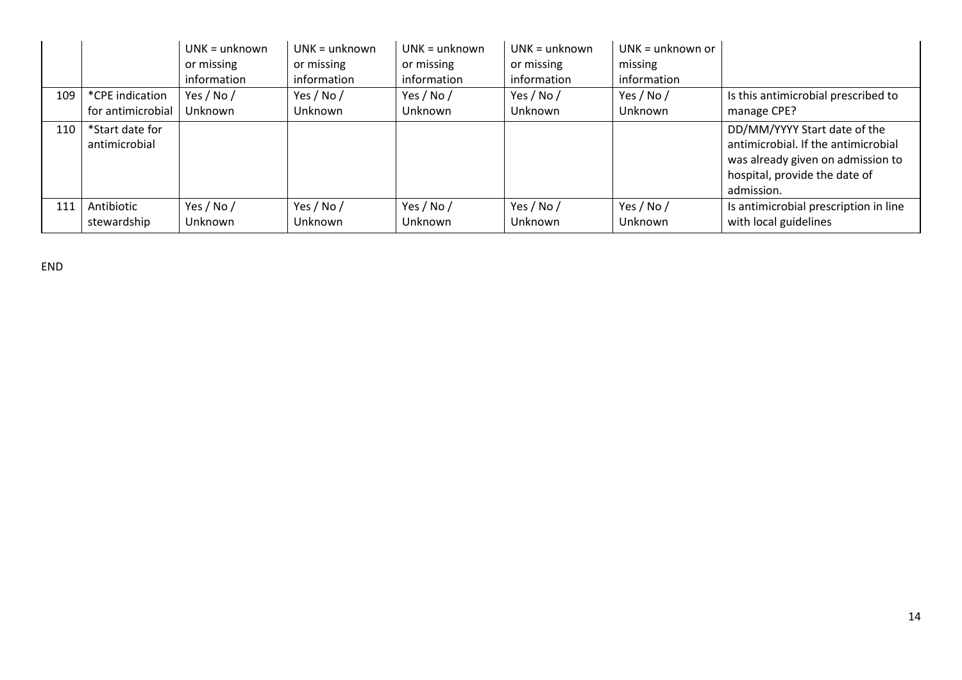|     |                                  | $UNK = unknown$<br>or missing<br>information | $UNK = unknown$<br>or missing<br>information | $UNK = unknown$<br>or missing<br>information | $UNK = unknown$<br>or missing<br>information | $UNK = unknown$ or<br>missing<br>information |                                                                                                                                                         |
|-----|----------------------------------|----------------------------------------------|----------------------------------------------|----------------------------------------------|----------------------------------------------|----------------------------------------------|---------------------------------------------------------------------------------------------------------------------------------------------------------|
| 109 | *CPE indication                  | Yes / No /                                   | Yes / No /                                   | Yes / No /                                   | Yes / No /                                   | Yes / No /                                   | Is this antimicrobial prescribed to                                                                                                                     |
|     | for antimicrobial                | Unknown                                      | Unknown                                      | Unknown                                      | Unknown                                      | Unknown                                      | manage CPE?                                                                                                                                             |
| 110 | *Start date for<br>antimicrobial |                                              |                                              |                                              |                                              |                                              | DD/MM/YYYY Start date of the<br>antimicrobial. If the antimicrobial<br>was already given on admission to<br>hospital, provide the date of<br>admission. |
| 111 | Antibiotic                       | Yes / No /                                   | Yes / No /                                   | Yes / No /                                   | Yes / No /                                   | Yes / No /                                   | Is antimicrobial prescription in line                                                                                                                   |
|     | stewardship                      | Unknown                                      | Unknown                                      | Unknown                                      | Unknown                                      | Unknown                                      | with local guidelines                                                                                                                                   |

END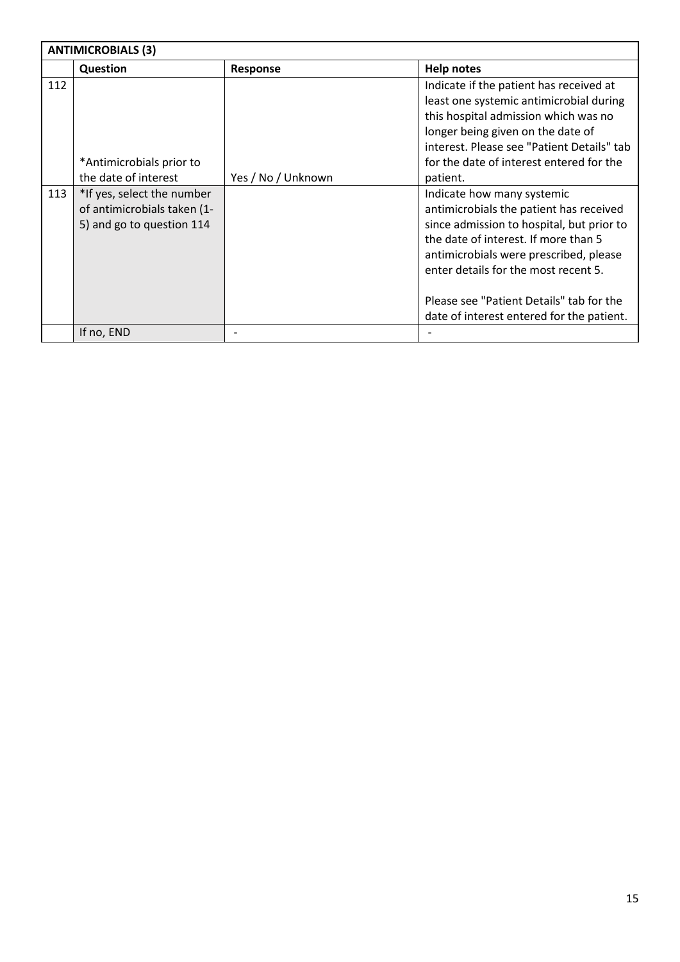|     | <b>ANTIMICROBIALS (3)</b>                                                              |                    |                                                                                                                                                                                                                                                                                                                                       |  |  |  |
|-----|----------------------------------------------------------------------------------------|--------------------|---------------------------------------------------------------------------------------------------------------------------------------------------------------------------------------------------------------------------------------------------------------------------------------------------------------------------------------|--|--|--|
|     | Question                                                                               | <b>Response</b>    | <b>Help notes</b>                                                                                                                                                                                                                                                                                                                     |  |  |  |
| 112 | *Antimicrobials prior to<br>the date of interest                                       | Yes / No / Unknown | Indicate if the patient has received at<br>least one systemic antimicrobial during<br>this hospital admission which was no<br>longer being given on the date of<br>interest. Please see "Patient Details" tab<br>for the date of interest entered for the<br>patient.                                                                 |  |  |  |
| 113 | *If yes, select the number<br>of antimicrobials taken (1-<br>5) and go to question 114 |                    | Indicate how many systemic<br>antimicrobials the patient has received<br>since admission to hospital, but prior to<br>the date of interest. If more than 5<br>antimicrobials were prescribed, please<br>enter details for the most recent 5.<br>Please see "Patient Details" tab for the<br>date of interest entered for the patient. |  |  |  |
|     | If no, END                                                                             |                    |                                                                                                                                                                                                                                                                                                                                       |  |  |  |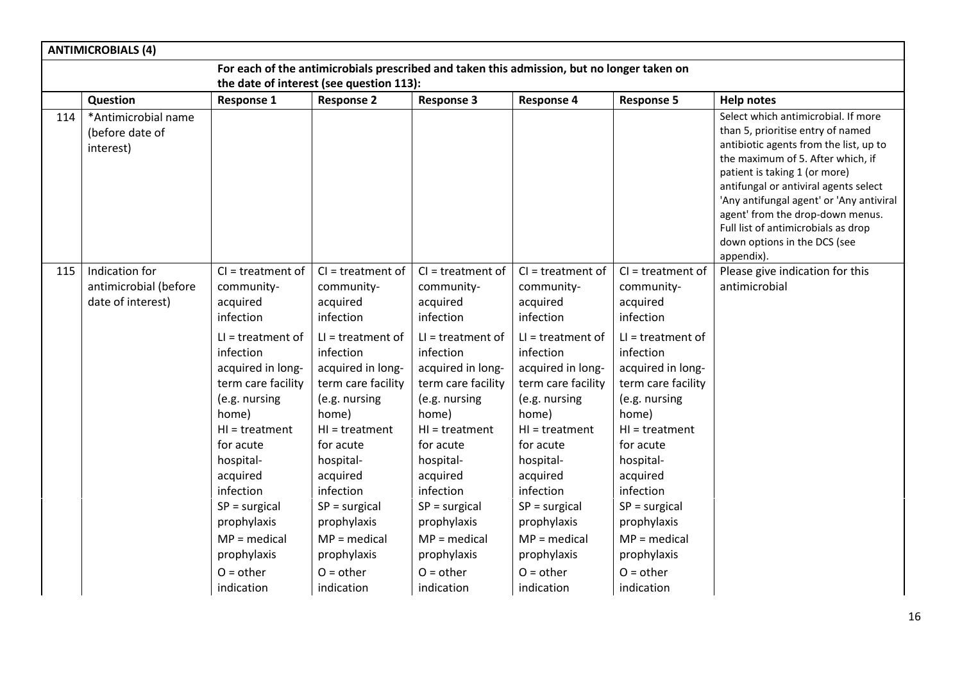|     | <b>ANTIMICROBIALS (4)</b>                                    |                                                                                                                                                                                                                   |                                                                                                                                                                                                                   |                                                                                                                                                                                                                   |                                                                                                                                                                                                                  |                                                                                                                                                                                                                   |                                                                                                                                                                                                                                                                                                                                                                                                        |
|-----|--------------------------------------------------------------|-------------------------------------------------------------------------------------------------------------------------------------------------------------------------------------------------------------------|-------------------------------------------------------------------------------------------------------------------------------------------------------------------------------------------------------------------|-------------------------------------------------------------------------------------------------------------------------------------------------------------------------------------------------------------------|------------------------------------------------------------------------------------------------------------------------------------------------------------------------------------------------------------------|-------------------------------------------------------------------------------------------------------------------------------------------------------------------------------------------------------------------|--------------------------------------------------------------------------------------------------------------------------------------------------------------------------------------------------------------------------------------------------------------------------------------------------------------------------------------------------------------------------------------------------------|
|     |                                                              |                                                                                                                                                                                                                   |                                                                                                                                                                                                                   |                                                                                                                                                                                                                   | For each of the antimicrobials prescribed and taken this admission, but no longer taken on                                                                                                                       |                                                                                                                                                                                                                   |                                                                                                                                                                                                                                                                                                                                                                                                        |
|     |                                                              |                                                                                                                                                                                                                   | the date of interest (see question 113):                                                                                                                                                                          |                                                                                                                                                                                                                   |                                                                                                                                                                                                                  |                                                                                                                                                                                                                   |                                                                                                                                                                                                                                                                                                                                                                                                        |
|     | Question                                                     | <b>Response 1</b>                                                                                                                                                                                                 | <b>Response 2</b>                                                                                                                                                                                                 | <b>Response 3</b>                                                                                                                                                                                                 | <b>Response 4</b>                                                                                                                                                                                                | <b>Response 5</b>                                                                                                                                                                                                 | <b>Help notes</b>                                                                                                                                                                                                                                                                                                                                                                                      |
| 114 | *Antimicrobial name<br>(before date of<br>interest)          |                                                                                                                                                                                                                   |                                                                                                                                                                                                                   |                                                                                                                                                                                                                   |                                                                                                                                                                                                                  |                                                                                                                                                                                                                   | Select which antimicrobial. If more<br>than 5, prioritise entry of named<br>antibiotic agents from the list, up to<br>the maximum of 5. After which, if<br>patient is taking 1 (or more)<br>antifungal or antiviral agents select<br>'Any antifungal agent' or 'Any antiviral<br>agent' from the drop-down menus.<br>Full list of antimicrobials as drop<br>down options in the DCS (see<br>appendix). |
| 115 | Indication for<br>antimicrobial (before<br>date of interest) | $Cl = treatment of$<br>community-<br>acquired<br>infection<br>$LI = treatment of$<br>infection<br>acquired in long-<br>term care facility<br>(e.g. nursing<br>home)<br>$HI = treatment$<br>for acute<br>hospital- | $Cl = treatment of$<br>community-<br>acquired<br>infection<br>$LI = treatment of$<br>infection<br>acquired in long-<br>term care facility<br>(e.g. nursing<br>home)<br>$HI = treatment$<br>for acute<br>hospital- | $Cl = treatment of$<br>community-<br>acquired<br>infection<br>$LI = treatment of$<br>infection<br>acquired in long-<br>term care facility<br>(e.g. nursing<br>home)<br>$HI = treatment$<br>for acute<br>hospital- | $Cl = treatment of$<br>community-<br>acquired<br>infection<br>$LI = treatment of$<br>infection<br>acquired in long-<br>term care facility<br>(e.g. nursing<br>home)<br>$H = treatment$<br>for acute<br>hospital- | $Cl = treatment of$<br>community-<br>acquired<br>infection<br>$LI = treatment of$<br>infection<br>acquired in long-<br>term care facility<br>(e.g. nursing<br>home)<br>$HI = treatment$<br>for acute<br>hospital- | Please give indication for this<br>antimicrobial                                                                                                                                                                                                                                                                                                                                                       |
|     |                                                              | acquired<br>infection<br>$SP = surgical$<br>prophylaxis<br>$MP = medical$<br>prophylaxis<br>$O = other$<br>indication                                                                                             | acquired<br>infection<br>$SP = \text{surgical}$<br>prophylaxis<br>$MP = medical$<br>prophylaxis<br>$O =$ other<br>indication                                                                                      | acquired<br>infection<br>$SP = surgical$<br>prophylaxis<br>$MP = medical$<br>prophylaxis<br>$O =$ other<br>indication                                                                                             | acquired<br>infection<br>$SP = \text{surgical}$<br>prophylaxis<br>$MP = medical$<br>prophylaxis<br>$O = other$<br>indication                                                                                     | acquired<br>infection<br>$SP = \text{surgical}$<br>prophylaxis<br>$MP = medical$<br>prophylaxis<br>$O = other$<br>indication                                                                                      |                                                                                                                                                                                                                                                                                                                                                                                                        |